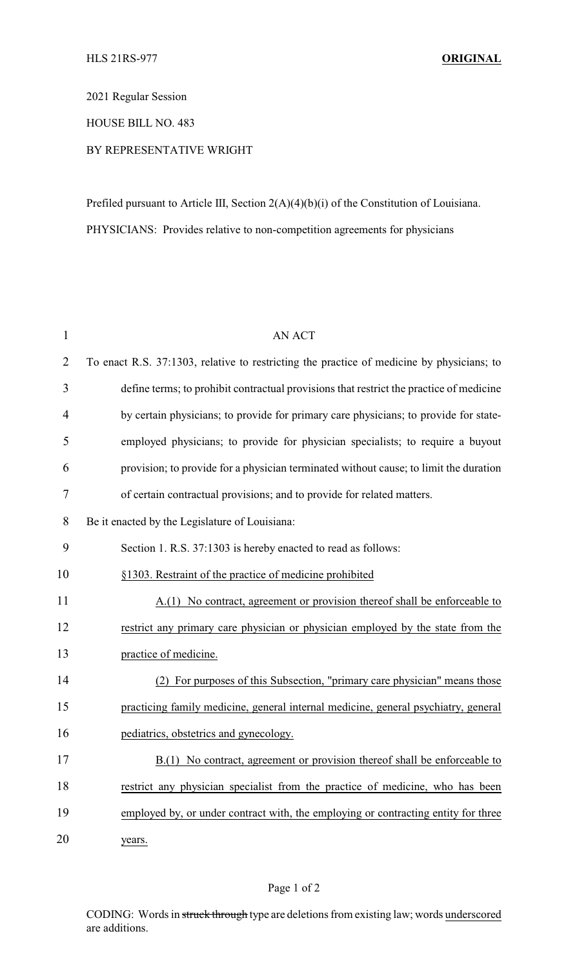2021 Regular Session

HOUSE BILL NO. 483

## BY REPRESENTATIVE WRIGHT

Prefiled pursuant to Article III, Section 2(A)(4)(b)(i) of the Constitution of Louisiana. PHYSICIANS: Provides relative to non-competition agreements for physicians

| $\mathbf{1}$   | <b>AN ACT</b>                                                                             |
|----------------|-------------------------------------------------------------------------------------------|
| $\overline{2}$ | To enact R.S. 37:1303, relative to restricting the practice of medicine by physicians; to |
| 3              | define terms; to prohibit contractual provisions that restrict the practice of medicine   |
| 4              | by certain physicians; to provide for primary care physicians; to provide for state-      |
| 5              | employed physicians; to provide for physician specialists; to require a buyout            |
| 6              | provision; to provide for a physician terminated without cause; to limit the duration     |
| 7              | of certain contractual provisions; and to provide for related matters.                    |
| 8              | Be it enacted by the Legislature of Louisiana:                                            |
| 9              | Section 1. R.S. 37:1303 is hereby enacted to read as follows:                             |
| 10             | §1303. Restraint of the practice of medicine prohibited                                   |
| 11             | A.(1) No contract, agreement or provision thereof shall be enforceable to                 |
| 12             | restrict any primary care physician or physician employed by the state from the           |
| 13             | practice of medicine.                                                                     |
| 14             | For purposes of this Subsection, "primary care physician" means those<br>(2)              |
| 15             | practicing family medicine, general internal medicine, general psychiatry, general        |
| 16             | pediatrics, obstetrics and gynecology.                                                    |
| 17             | B.(1) No contract, agreement or provision thereof shall be enforceable to                 |
| 18             | restrict any physician specialist from the practice of medicine, who has been             |
| 19             | employed by, or under contract with, the employing or contracting entity for three        |
| 20             | years.                                                                                    |